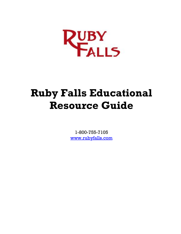

# **Ruby Falls Educational Resource Guide**

1-800-755-7105 [www.rubyfalls.com](http://www.rubyfalls.com/)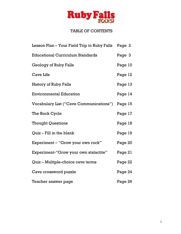

## TABLE OF CONTENTS

| Lesson Plan – Your Field Trip to Ruby Falls | Page 2  |
|---------------------------------------------|---------|
| <b>Educational Curriculum Standards</b>     | Page 3  |
| Geology of Ruby Falls                       | Page 10 |
| <b>Cave Life</b>                            | Page 12 |
| <b>History of Ruby Falls</b>                | Page 13 |
| <b>Environmental Education</b>              | Page 14 |
| Vocabulary List ("Cave Communications")     | Page 15 |
| The Rock Cycle                              | Page 17 |
| <b>Thought Questions</b>                    | Page 18 |
| Quiz – Fill in the blank                    | Page 19 |
| Experiment - "Grow your own rock"           | Page 20 |
| Experiment-"Grow your own stalactite"       | Page 21 |
| Quiz – Multiple-choice cave terms           | Page 22 |
| Cave crossword puzzle                       | Page 24 |
| Teacher answer page                         | Page 26 |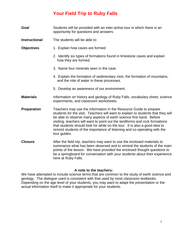# **Your Field Trip to Ruby Falls**

- **Goal** Students will be provided with an inter-active tour in which there is an opportunity for questions and answers.
- **Instructional** The students will be able to:
- **Objectives** 1. Explain how caves are formed
	- 2. Identify six types of formations found in limestone caves and explain how they are formed.
	- 3. Name four minerals seen in the cave.
	- 4. Explain the formation of sedimentary rock, the formation of mountains, and the role of water in these processes.
	- 5. Develop an awareness of our environment.
- **Materials** Information on history and geology of Ruby Falls, vocabulary sheet, science experiments, and classroom worksheets.
- **Preparation** Teachers may use the information in the Resource Guide to prepare students for the visit. Teachers will want to explain to students that they will be able to observe many aspects of earth science first hand. Before visiting, teachers will want to point out the landforms and rock formations that students should look for while on the tour. It is also a good idea to remind students of the importance of listening and co-operating with the tour guides.
- **Closure** After the field trip, teachers may want to use the enclosed materials to summarize what has been observed and to remind the students of the main points of the lesson. We have provided the enclosed thought questions to be a springboard for conversation with your students about their experience here at Ruby Falls.

#### **A note to the teachers:**

We have attempted to include science terms that are common to the study of earth science and geology. The dialogue used is consistent with that used by most classroom textbooks. Depending on the age level of your students, you may want to adapt the presentation or the actual information itself to make it appropriate for your students.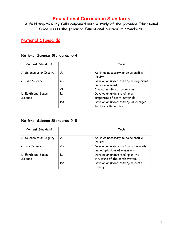## **Educational Curriculum Standards**

**A field trip to Ruby Falls combined with a study of the provided Educational Guide meets the following Educational Curriculum Standards.**

**National Standards**

#### **National Science Standards K-4**

| <b>Content Standard</b>       |                | <b>Topic</b>                                                 |
|-------------------------------|----------------|--------------------------------------------------------------|
| A. Science as an Inquiry      | A1             | Abilities necessary to do scientific<br>inguiry              |
| C. Life Science               | C <sub>3</sub> | Develop an understanding of organisms<br>and environments    |
|                               | C1             | Characteristics of organisms                                 |
| D. Earth and Space<br>Science | D1             | Develop an understanding of<br>properties of earth materials |
|                               | D <sub>3</sub> | Develop an understanding of changes<br>to the earth and sky  |

#### **National Science Standards 5-8**

| <b>Content Standard</b>       |                | Topic                                                                 |
|-------------------------------|----------------|-----------------------------------------------------------------------|
| A. Science as an Inquiry      | A1             | Abilities necessary to do scientific<br>inguiry                       |
| C. Life Science               | C5             | Develop an understanding of diversity<br>and adaptations of organisms |
| D. Earth and Space<br>Science | D1             | Develop an understanding of the<br>structure of the earth system      |
|                               | D <sub>2</sub> | Develop an understanding of earth<br>history                          |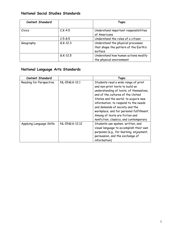## **National Social Studies Standards**

| <b>Content Standard</b> |             | <b>Topic</b>                                                                          |
|-------------------------|-------------|---------------------------------------------------------------------------------------|
| Civics                  | $C.K-4.5$   | Understand important responsibilities<br>of Americans                                 |
|                         | $C.5 - 8.5$ | Understand the roles of a citizen                                                     |
| Geography               | $G.K-12.3$  | Understand the physical processes<br>that shape the pattern of the Earth's<br>surface |
|                         | $G.K-12.5$  | Understand how human actions modify<br>the physical environment                       |

## **National Language Arts Standards**

| <b>Content Standard</b>  |                       | <b>Topic</b>                                                                                                                                                                                                                                                                                                                                                                                    |
|--------------------------|-----------------------|-------------------------------------------------------------------------------------------------------------------------------------------------------------------------------------------------------------------------------------------------------------------------------------------------------------------------------------------------------------------------------------------------|
| Reading for Perspective  | <b>NL-ENG.K-12.1</b>  | Students read a wide range of print<br>and non-print texts to build an<br>understanding of texts, of themselves,<br>and of the cultures of the United<br>States and the world; to acquire new<br>information; to respond to the needs<br>and demands of society and the<br>workplace; and for personal fulfillment.<br>Among of texts are fiction and<br>nonfiction, classics, and contemporary |
| Applying Language Skills | <b>NL-ENG.K-12.12</b> | Students use spoken, written, and<br>visual language to accomplish their own<br>purposes (e.g., for learning, enjoyment,<br>persuasion, and the exchange of<br>information)                                                                                                                                                                                                                     |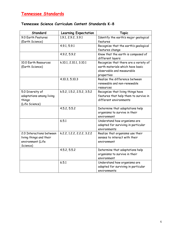# **Tennessee Standards**

## **Tennessee Science Curriculum Content Standards K-8**

| Standard                 | <b>Learning Expectation</b> | <b>Topic</b>                          |
|--------------------------|-----------------------------|---------------------------------------|
| 9.0 Earth Features       | 1.9.1, 2.9.2, 3.9.1         | Identify the earth's major geological |
| (Earth Science)          |                             | features                              |
|                          | 4.9.1, 5.9.1                | Recognize that the earth's geological |
|                          |                             | features change                       |
|                          | 4.9.2, 5.9.2                | Know that the earth is composed of    |
|                          |                             | different layers                      |
| 10.0 Earth Resources     | k.10.1, 2.10.1, 3.10.1      | Recognize that there are a variety of |
| (Earth Science)          |                             | earth materials which have basic      |
|                          |                             | observable and measurable             |
|                          |                             | properties                            |
|                          | 4.10.3, 5.10.3              | Realize the difference between        |
|                          |                             | renewable and non-renewable           |
|                          |                             | resources                             |
| 5.0 Diversity of         | k.5.2, 1.5.2, 2.5.2, 3.5.2  | Recognize that living things have     |
| adaptations among living |                             | features that help them to survive in |
| things                   |                             | different environments                |
| (Life Science)           |                             |                                       |
|                          | 4.5.2, 5.5.2                | Determine that adaptations help       |
|                          |                             | organisms to survive in their         |
|                          |                             | environment                           |
|                          | 6.5.1                       | Understand how organisms are          |
|                          |                             | adapted for surviving in particular   |
|                          |                             | environments                          |
| 2.0 Interactions between | k.2.2, 1.2.2, 2.2.2, 3.2.2  | Realize that organisms use their      |
| living things and their  |                             | senses to interact with their         |
| environment (Life        |                             | environment                           |
| Science)                 |                             |                                       |
|                          | 4.5.2, 5.5.2                | Determine that adaptations help       |
|                          |                             | organisms to survive in their         |
|                          |                             | environment                           |
|                          | 6.5.1                       | Understand how organisms are          |
|                          |                             | adapted for surviving in particular   |
|                          |                             | environments                          |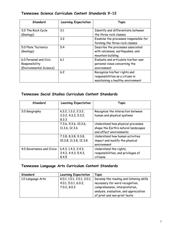## **Tennessee Science Curriculum Content Standards 9-12**

| Standard                                                            | <b>Learning Expectation</b> | <b>Topic</b>                                                                                          |
|---------------------------------------------------------------------|-----------------------------|-------------------------------------------------------------------------------------------------------|
| 3.0 The Rock Cycle<br>(Geology)                                     | 3.1                         | Identify and differentiate between<br>the three rock classes                                          |
|                                                                     | 3.2                         | Examine the processes responsible for<br>forming the three rock classes                               |
| 5.0 Plate Tectonics<br>(Geology)                                    | 5.4                         | Describe the processes associated<br>with volcanoes, earthquakes, and<br>mountain building.           |
| 6.0 Personal and Civic<br>Responsibility<br>(Environmental Science) | 6.1                         | Evaluate and articulate his/her own<br>personal views concerning the<br>environment                   |
|                                                                     | 6.2                         | Recognize his/her rights and<br>responsibilities as a citizen in<br>maintaining a healthy environment |

## **Tennessee Social Studies Curriculum Content Standards**

| Standard                  | <b>Learning Expectation</b>                           | <b>Topic</b>                                                                                         |
|---------------------------|-------------------------------------------------------|------------------------------------------------------------------------------------------------------|
| 3.0 Geography             | k.3.2, 1.3.2, 2.3.2,<br>3.3.2, 4.3.2, 5.3.2,<br>8.3.3 | Recognize the interaction between<br>human and physical systems                                      |
|                           | 7.3.6, 9.3.6, 10.3.6,<br>11.3.6, 12.3.6               | Understand how physical processes<br>shape the Earth's natural landscapes<br>and affect environments |
|                           | 7.3.8, 8.3.8, 9.3.8,<br>10.3.8, 11.3.8, 12.3.8        | Understand how human activities<br>impact and modify the physical<br>environment                     |
| 4.0 Governance and Civics | k.4.3, 1.4.3, 2.4.3,<br>3.4.3, 4.4.3, 5.4.3,<br>8.4.5 | Understand the rights,<br>responsibilities, and privileges of<br>citizens                            |

## **Tennessee Language Arts Curriculum Content Standards**

| Standard          | <b>Learning Expectation</b>                                         | Topic                                                                                                                                                                                   |
|-------------------|---------------------------------------------------------------------|-----------------------------------------------------------------------------------------------------------------------------------------------------------------------------------------|
| 1.0 Language Arts | K.0.1, 1.0.1, 2.0.1, 3.0.1,<br>4.0.1, 5.0.1, 6.0.2,<br>7.0.2, 8.0.2 | Develop the reading and listening skills<br>necessary for word recognition,<br>comprehension, interpretation,<br>analysis, evaluation, and appreciation<br>of print and non-print texts |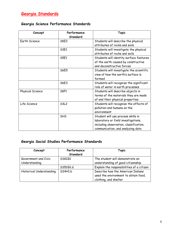## **Georgia Science Performance Standards**

| Concept          | Performance      | <b>Topic</b>                             |
|------------------|------------------|------------------------------------------|
|                  | Standard         |                                          |
| Earth Science    | SKE <sub>2</sub> | Students will describe the physical      |
|                  |                  | attributes of rocks and soils            |
|                  | S3E1             | Students will investigate the physical   |
|                  |                  | attributes of rocks and soils            |
|                  | S5E1             | Students will identity surface features  |
|                  |                  | of the earth caused by constructive      |
|                  |                  | and deconstructive forces                |
|                  | <b>S6E5</b>      | Students will investigate the scientific |
|                  |                  | view of how the earth's surface is       |
|                  |                  | formed                                   |
|                  | S6E3             | Students will recognize the significant  |
|                  |                  | role of water in earth processes         |
| Physical Science | SKP1             | Students will describe objects in        |
|                  |                  | terms of the materials they are made     |
|                  |                  | of and their physical properties         |
| Life Science     | <b>S3L2</b>      | Students will recognize the effects of   |
|                  |                  | pollution and humans on the              |
|                  |                  | environment                              |
|                  | <b>SHS</b>       | Student will use process skills in       |
|                  |                  | laboratory or field investigations,      |
|                  |                  | including observation, classification,   |
|                  |                  | communication, and analyzing data        |

## **Georgia Social Studies Performance Standards**

| Concept                  | Performance<br>Standard | <b>Topic</b>                                                                                       |
|--------------------------|-------------------------|----------------------------------------------------------------------------------------------------|
| Government and Civic     | SSKCG1                  | The student will demonstrate an                                                                    |
| Understanding            |                         | understanding of good citizenship                                                                  |
|                          | SS5C61.d                | Explain the responsibilities of a citizen                                                          |
| Historical Understanding | SS4H1.b                 | Describe how the American Indians<br>used the environment to obtain food,<br>clothing, and shelter |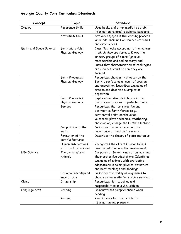## **Georgia Quality Core Curriculum Standards**

| Concept                 | <b>Topic</b>              | Standard                                  |
|-------------------------|---------------------------|-------------------------------------------|
| <b>Inquiry</b>          | Reference Skills          | Uses books and other media to obtain      |
|                         |                           | information related to science concepts   |
|                         | Activities/Tools          | Actively engages in the learning process  |
|                         |                           | via hands-on/minds-on science activities  |
|                         |                           | and experiences                           |
| Earth and Space Science | <b>Earth Materials:</b>   | Classifies rocks according to the manner  |
|                         | Physical Geology          | in which they are formed. Knows the       |
|                         |                           | primary groups of rocks (igneous,         |
|                         |                           | metamorphic and sedimentary) and          |
|                         |                           | knows that characteristics of rock types  |
|                         |                           | are a direct result of how they are       |
|                         |                           | formed.                                   |
|                         | Earth Processes:          | Recognizes changes that occur on the      |
|                         | Physical Geology          | Earth's surface as a result of erosion    |
|                         |                           | and deposition. Describes examples of     |
|                         |                           | erosion and describe examples of          |
|                         |                           | deposition                                |
|                         | Earth Processes:          | Explores and discuses change in the       |
|                         | Physical Geology          | Earth's surface due to plate tectonics    |
|                         | Geology                   | Recognizes that constructive and          |
|                         |                           | destructive Earth forces (e.g.,           |
|                         |                           | continental drift, earthquakes,           |
|                         |                           | volcanoes, plate tectonics, weathering,   |
|                         |                           | and erosion) change the Earth's surface.  |
|                         | Composition of the        | Describes the rock cycle and the          |
|                         | earth                     | importance of heat and pressure.          |
|                         | Formation of the          | Describes the theory of plate tectonics   |
|                         | earth's features          |                                           |
|                         | <b>Human Interactions</b> | Recognizes the effects human beings       |
|                         | with the Environment      | have on pollution and the environment.    |
| Life Science            | The Living World:         | Compares different kinds of animals and   |
|                         | Animals                   | their protective adaptations. Identifies  |
|                         |                           | examples of animals with protective       |
|                         |                           | adaptations in color, physical structure  |
|                         |                           | and body markings and shadings,           |
|                         | Ecology/Interdepend       | Describes the ability of organisms to     |
|                         | ence of Life              | change as necessity for species survival. |
| Civics                  | Citizenship               | Recognizes rights, duties and             |
|                         |                           | responsibilities of a U.S. citizen        |
| Language Arts           | Reading                   | Demonstrates comprehension when           |
|                         |                           | reading                                   |
|                         | Reading                   | Reads a variety of materials for          |
|                         |                           | information and pleasure.                 |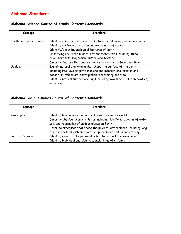## **Alabama Standards**

## **Alabama Science Course of Study Content Standards**

| Concept                 | Standard                                                                   |  |
|-------------------------|----------------------------------------------------------------------------|--|
| Earth and Space Science | Identify components of earth's surface including soil, rocks, and water    |  |
|                         | Identify evidence of erosion and weathering of rocks                       |  |
|                         | Identify/describe geological features of earth                             |  |
|                         | Classifying rocks and minerals by characteristics including streak,        |  |
|                         | color, hardness, magnetism, luster, and texture                            |  |
|                         | Describe factors that cause changes to earth's surface over time           |  |
| Geology                 | Explain natural phenomena that shape the surface of the earth              |  |
|                         | including rock cycles, plate motions and interactions, erosion and         |  |
|                         | deposition, volcanism, earthquakes, weathering and tide                    |  |
|                         | Identify natural surface openings including lava tubes, solution cavities, |  |
|                         | and caves                                                                  |  |

#### **Alabama Social Studies Course of Content Standards**

| Concept                  | Standard<br>Identify human made and natural resources in the world                                                                      |  |
|--------------------------|-----------------------------------------------------------------------------------------------------------------------------------------|--|
| Geography                |                                                                                                                                         |  |
|                          | Describe physical characteristics including, landforms, bodies of water,<br>soil, and vegetation of various places on Earth             |  |
|                          | Describe processes that shape the physical environment, including long<br>range effects of extreme weather phenomena and human activity |  |
| <b>Political Science</b> | Identify ways to take personal action to protect the environment                                                                        |  |
|                          | Identify individual and civic responsibilities of citizens                                                                              |  |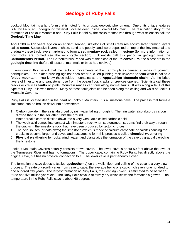# **Geology of Ruby Falls**

Lookout Mountain is a **landform** that is noted for its unusual geologic phenomena. One of its unique features is Ruby Falls, an underground waterfall, located deep inside Lookout Mountain. The fascinating story of the formation of Lookout Mountain and Ruby Falls is told by the rocks themselves through what scientists call the **Geologic Time Line.** 

About 300 million years ago on an ancient seabed, skeletons of small creatures accumulated forming layers called **strata**. Successive layers of shale, sand and pebbly sand were deposited on top of the limy material and gradually these thick layers hardened to form a **sedimentary rock** called **limestone** (for more information on how rocks are formed see the rock cycle section). Scientists call this period in geologic time the **Carboniferous Period.** The Carboniferous Period was at the close of the **Paleozoic Era,** the oldest era in the **geologic time line** (before dinosaurs, mammals or birds had evolved).

It was during this period that the tectonic movements of the Earth's plates caused a series of powerful earthquakes. The plates pushing against each other buckled pushing rock upwards to form what is called a **folded mountain**. You know these folded mountains as the **Appalachian Mountain chain**. As the brittle layers of limestone and sandstone rose from the ocean floor, cracks or crevices opened. Scientists call these cracks or crevices **faults** or joints. Mountain ranges can form along normal faults. It was along a fault of this type that Ruby Falls was formed. Many of these fault joints can be seen along the ceiling and walls of Lookout Mountain Caverns.

Ruby Falls is located deep in the heart of Lookout Mountain. It is a limestone cave. The process that forms a limestone can be broken down into a few steps:

- 1. Carbon dioxide in the air is absorbed by rain water falling through it. The rain water also absorbs carbon dioxide that is in the soil after it hits the ground.
- 2. Water breaks carbon dioxide down into a very weak acid called carbonic acid.
- 3. The weak acid comes into contact with limestone rock when subterranean streams find their way through the cracks in the limestone rock that have been produced by tectonic forces.
- 4. The acid solutes (or eats away) the limestone (which is made of calcium carbonate or calcite) causing the cracks to become larger and caves and passages to form this process is called **chemical weathering**
- 5. **Physical weathering** by rocks, wind, water, and plants aids the formation of the cave by gradually eroding the limestone

Lookout Mountain Caverns actually consists of two caves. The lower cave is about 50 feet above the level of the Tennessee River and has no formations. The upper cave, containing Ruby Falls, lies directly above the original cave, but has no physical connection to it. The lower cave is permanently closed.

The formation of cave deposits (called **speleothems**) on the walls, floor and ceiling of the cave is a very slow process. The rate of growth varies from cave to cave; the average being one cubic inch every one hundred to one hundred fifty years. The largest formation at Ruby Falls, the *Leaning Tower*, is estimated to be between three and five million years old. The Ruby Falls cave is relatively dry which slows the formation's growth. The temperature in the Ruby Falls cave is about 60 degrees.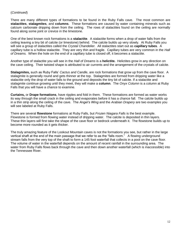#### (*Continued*)

There are many different types of formations to be found in the Ruby Falls cave. The most common are **stalactites**, **stalagmites**, and **columns**. These formations are caused by water containing minerals such as calcium carbonate dripping down from the ceiling. The rows of stalactites found on the ceiling are normally found along some joint or crevice in the limestone.

One of the best known rock formations is a **stalactite**. A stalactite forms when a drop of water falls from the ceiling leaving a tiny bit of calcite (or limestone) behind. The calcite builds up very slowly. At Ruby Falls you will see a group of stalactites called the *Crystal Chandelier.* All stalactites start out as **capillary tubes**. A capillary tube is a hollow stalactite. They are very thin and fragile. Capillary tubes are very common in the *Hall of Dreams.* When the hole on the end of a capillary tube is closed off, it becomes a stalactite.

Another type of stalactite you will see in the *Hall of Dreams* is a **helictite.** Helictites grow in any direction on the cave ceiling. Their twisted shape is attributed to air currents and the arrangement of the crystals of calcite.

**Stalagmites,** such as Ruby Falls' *Cactus and Candle*, are rock formations that grow up from the cave floor. A stalagmite is generally round and gets thinner at the top. Stalagmites are formed from dripping water like a stalactite only the drop of water falls to the ground and deposits the tiny bit of calcite. If a stalactite and stalagmite continue growing until they meet, they will make a **column**. The *Onyx Column* is a column at Ruby Falls that you will have a chance to examine.

**Curtains,** or **Drape formations**, have ripples and fold in them. These formations are formed as water works its way through the small crack in the ceiling and evaporates before it has a chance fall. The calcite builds up in a thin strip along the ceiling of the cave. The *Angel's Wing* and the *Arabian Drapery* are two examples you will see labeled at Ruby Falls.

There are several **flowstone** formations at Ruby Falls, but *Frozen Niagara Falls* is the best example. Flowstone is formed from flowing water instead of dripping water. The calcite is deposited in thin layers. These thin layers will first take the shape of the cave floor or bedrock underneath it. The flowstone builds up to become more rounded as it gets thicker.

The truly amazing feature of the Lookout Mountain caves is not the formations you see, but rather in the large vertical shaft at the end of the main passage that we refer to as the "falls room." A flowing underground stream falls from the very top of the shaft to form a 145 foot waterfall that collects in a pool on the cave floor. The volume of water in the waterfall depends on the amount of recent rainfall in the surrounding area. The water from Ruby Falls flows back through the cave and then down another waterfall (which is inaccessible) into the Tennessee River.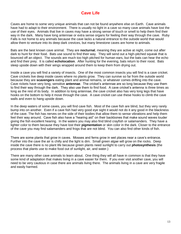## **Cave Life**

Caves are home to some very unique animals that can not be found anywhere else on Earth. Cave animals have had to adapt to their environment. There is usually no light in a cave so many cave animals have lost the use of their eyes. Animals that live in caves may have a strong sense of touch or smell to help them find their way in the dark. Many have long antennae or extra sense organs for feeling their way through the cave. Ruby Falls is not home to any animals because the cave lacks a natural entrance to the outside world that would allow them to venture into its deep dark crevices, but many limestone caves are home to animals.

Bats are the best known cave animal. They are **nocturnal**, meaning they are active at night, come out after dark to hunt for their food. Bats use sound to find their way. They will send out a high-pitched squeak that is bounced off an object. The sounds are much too high pitched for human ears, but the bats can hear the echo and find their prey. It is called **echolocation**. After hunting for the evening, bats return to their roost. Bats sleep upside down with their wings wrapped around them to keep them from drying out.

Inside a cave you will find a variety of insects. One of the most common insects you will find is a cave cricket. Cave crickets live deep inside caves where no plants grow. They can survive so far from the outside world because they are **scavengers** eating plant and animal remains, or whatever comes drifting into the cave. Cave rickets have very long, sensitive **antennae**. The cricket's antennae are so long because they use them to find their way through the dark. They also use them to find food. A cave cricket's antenna is three times as long as the rest of its body. In addition to long antennae, the cave cricket also has very long legs that have hooks on the bottom to help it move through the cave. A cave cricket can use these hooks to climb the cave walls and even to hang upside down.

In the deep waters of some caves, you will find cave fish. Most of the cave fish are blind, but they very rarely bump into on another. Even if a cave fish had very good eye sight it would not do it any good in the blackness of the cave. The fish has nerves on the side of their bodies that allow them to sense vibrations and help them feel their way around. Cave fish also have a "hearing aid" on their backbones that make sound waves louder giving the fish excellent hearing. In the waters you may also find blind crayfish or salamanders. They have a lighter color to them because they have lost their **pigmentation** or skin color in the dark. Closer to the entrance of the cave you may find salamanders and frogs that are not blind. You can also find other kinds of fish.

There are some plants that grow in caves. Mosses and ferns grow in wet places near a cave's entrance. Further into the cave the air is chilly and the light is dim. Small green algae will grow on the rocks. Deep inside the cave there is no plant life because green plants need sunlight to carry out **photosynthesis** (the process that plants use to make food out of sunlight, air, and water.)

There are many other cave animals to learn about. One thing they will all have in common is that they have some kind of adaptation that makes living in a cave easier for them. If you ever visit another cave, you will need to be very cautious in case there are animals living there. The animals living in a cave are very fragile and easily harmed.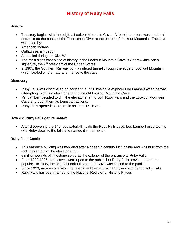# **History of Ruby Falls**

#### **History**

- The story begins with the original Lookout Mountain Cave. At one time, there was a natural entrance on the banks of the Tennessee River at the bottom of Lookout Mountain. The cave was used by:
- American Indians
- Outlaws as a hideout
- A hospital during the Civil War
- The most significant piece of history in the Lookout Mountain Cave is Andrew Jackson's signature, the  $7<sup>th</sup>$  president of the United States
- In 1905, the Southern Railway built a railroad tunnel through the edge of Lookout Mountain, which sealed off the natural entrance to the cave.

#### **Discovery**

- Ruby Falls was discovered on accident in 1928 bye cave explorer Leo Lambert when he was attempting to drill an elevator shaft to the old Lookout Mountain Cave
- Mr. Lambert decided to drill the elevator shaft to both Ruby Falls and the Lookout Mountain Cave and open them as tourist attractions.
- Ruby Falls opened to the public on June 16, 1930.

#### **How did Ruby Falls get its name?**

 After discovering the 145-foot waterfall inside the Ruby Falls cave, Leo Lambert escorted his wife Ruby down to the falls and named it in her honor.

#### **Ruby Falls Castle**

- This entrance building was modeled after a fifteenth century Irish castle and was built from the rocks taken out of the elevator shaft.
- 5 million pounds of limestone serve as the exterior of the entrance to Ruby Falls.
- From 1930-1935, both caves were open to the public, but Ruby Falls proved to be more popular. In 1935, the original Lookout Mountain Cave was closed to the public.
- Since 1929, millions of visitors have enjoyed the natural beauty and wonder of Ruby Falls
- Ruby Falls has been named to the National Register of Historic Places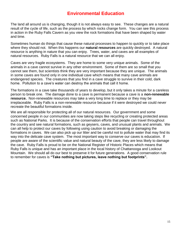## **Environmental Education**

The land all around us is changing, though it is not always easy to see. These changes are a natural result of the cycle of life, such as the process by which rocks change form. You can see this process in action in the Ruby Falls Cavern as you view the rock formations that have been shaped by water and time.

Sometimes human do things that cause these natural processes to happen to quickly or to take place where they should not. When this happens our **natural resources** are quickly destroyed. A natural resource is anything in nature that you can enjoy. Trees, water, and caves are all examples of natural resources. Ruby Falls is a natural resource that we can all enjoy.

Caves are very fragile ecosystems. They are home to some very unique animals. Some of the animals in a cave cannot survive in any other environment. Some of them are so small that you cannot see them, but scientists think they are very important because they are unique. The animals in some caves are found only in one individual cave which means that many cave animals are endangered species. The creatures that you find in a cave struggle to survive in their cold, dark home. Pollution to a cave's water can destroy the animals that call it home.

The formations in a cave take thousands of years to develop, but it only takes a minute for a careless person to break one. The damage done to a cave is permanent because a cave is a **non-renewable resource.** Non-renewable resources may take a very long time to replace or they may be irreplaceable. Ruby Falls is a non-renewable resource because if it were destroyed we could never recreate the beautiful formations inside.

We are all responsible for protecting all of our natural resources. Our government and some concerned people in our communities are now taking steps like recycling or creating protected areas such as National Parks. It is because of the conservation efforts that people can travel throughout the country and see natural formations, such as geysers, caves, and unusual plants and animals. We can all help to protect our caves by following using caution to avoid breaking or damaging the formations in caves. We can also pick up our litter and be careful not to pollute water that may find its way into the delicate cave system. The most important way to conserve our caves is education. If people are aware of the scientific value and natural beauty of the cave, they are less likely to damage the cave. Ruby Falls is proud to be on the National Register of Historic Places which means that Ruby Falls is unique and has an important place in the local history of Chattanooga and Lookout Mountain. We should all do our best to preserve it for future generations. A good conservation rule to remember for caves is **"Take nothing but pictures, leave nothing but footprints".**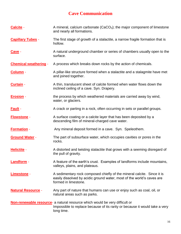# **Cave Communication**

| Calcite -                    | A mineral, calcium carbonate ( $CaCO3$ ); the major component of limestone<br>and nearly all formations.                                                                         |  |
|------------------------------|----------------------------------------------------------------------------------------------------------------------------------------------------------------------------------|--|
| <b>Capillary Tubes -</b>     | The first stage of growth of a stalactite, a narrow fragile formation that is<br>hollow.                                                                                         |  |
| <u>Cave</u> -                | A natural underground chamber or series of chambers usually open to the<br>surface.                                                                                              |  |
| <b>Chemical weathering -</b> | A process which breaks down rocks by the action of chemicals.                                                                                                                    |  |
| Column -                     | A pillar-like structure formed when a stalactite and a stalagmite have met<br>and joined together.                                                                               |  |
| Curtain -                    | A thin, translucent sheet of calcite formed when water flows down the<br>inclined ceiling of a cave. Syn. Drapery.                                                               |  |
| <b>Erosion</b> -             | the process by which weathered materials are carried away by wind,<br>water, or glaciers.                                                                                        |  |
| <b>Fault -</b>               | A crack or parting in a rock, often occurring in sets or parallel groups.                                                                                                        |  |
| <b>Flowstone -</b>           | A surface coating or a calcite layer that has been deposited by a<br>descending film of mineral-charged cave water.                                                              |  |
| <b>Formation -</b>           | Any mineral deposit formed in a cave. Syn. Speleothem.                                                                                                                           |  |
| <b>Ground Water -</b>        | The part of subsurface water, which occupies cavities or pores in the<br>rocks.                                                                                                  |  |
| <b>Helictite -</b>           | A distorted and twisting stalactite that grows with a seeming disregard of<br>the pull of gravity.                                                                               |  |
| <b>Landform</b>              | A feature of the earth's crust. Examples of landforms include mountains,<br>valleys, plains, and plateaus.                                                                       |  |
| Limestone -                  | A sedimentary rock composed chiefly of the mineral calcite. Since it is<br>easily dissolved by acidic ground water, most of the world's caves are<br>formed in limestone.        |  |
| <b>Natural Resource -</b>    | Any part of nature that humans can use or enjoy such as coal, oil, or<br>natural areas such as parks.                                                                            |  |
|                              | <b>Non-renewable resource</b> - a natural resource which would be very difficult or<br>Impossible to replace because of its rarity or because it would take a very<br>long time. |  |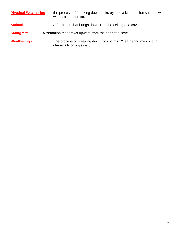| <b>Physical Weathering -</b> | the process of breaking down rocks by a physical reaction such as wind,<br>water, plants, or ice. |  |  |
|------------------------------|---------------------------------------------------------------------------------------------------|--|--|
| <b>Stalactite -</b>          | A formation that hangs down from the ceiling of a cave.                                           |  |  |
| <b>Stalagmite -</b>          | A formation that grows upward from the floor of a cave.                                           |  |  |
| <b>Weathering -</b>          | The process of breaking down rock forms. Weathering may occur<br>chemically or physically.        |  |  |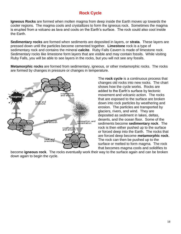## **Rock Cycle**

**Igneous Rocks** are formed when molten magma from deep inside the Earth moves up towards the cooler regions. The magma cools and crystallizes to form the igneous rock. Sometimes the magma is erupted from a volcano as lava and cools on the Earth's surface. The rock could also cool inside the Earth.

**Sedimentary rocks** are formed when sediments are deposited in layers, or **strata**. These layers are pressed down until the particles become cemented together. **Limestone** rock is a type of sedimentary rock and contains the mineral **calcite**. Ruby Falls Cavern is made of limestone rock. Sedimentary rocks like limestone form layers that are visible and may contain fossils. While visiting Ruby Falls, you will be able to see layers in the rocks, but you will not see any fossils.

**Metamorphic rocks** are formed from sedimentary, igneous, or other metamorphic rocks. The rocks are formed by changes in pressure or changes in temperature.



The **rock cycle** is a continuous process that changes old rocks into new rocks. The chart shows how the cycle works. Rocks are added to the Earth's surface by tectonic movement and volcanic action. The rocks that are exposed to the surface are broken down into rock particles by weathering and erosion. The particles are transported by glaciers, rivers, and wind. They are deposited as sediment in lakes, deltas, deserts, and the ocean floor. Some of the sediments become **sedimentary rock**. The rock is then either pushed up to the surface or forced deep into the Earth. The rocks that are forced deep become **metamorphic rock**. The rock can then be pushed up to the surface or melted to form magma. The rock that becomes magma cools and solidifies to

become **igneous rock**. The rocks eventually work their way to the surface again and can be broken down again to begin the cycle.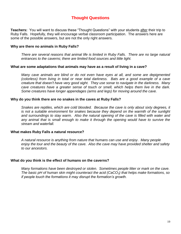## **Thought Questions**

**Teachers:** You will want to discuss these "Thought Questions" with your students after their trip to Ruby Falls. Hopefully, they will encourage verbal classroom participation. The answers here are some of the possible answers, but are not the only right answers.

#### **Why are there no animals in Ruby Falls?**

*There are several reasons that animal life is limited in Ruby Falls. There are no large natural entrances to the caverns; there are limited food sources and little light.*

#### **What are some adaptations that animals may have as a result of living in a cave?**

*Many cave animals are blind or do not even have eyes at all, and some are depigmented (colorless) from living in total or near total darkness. Bats are a good example of a cave creature that doesn't have very good sight. They use sonar to navigate in the darkness. Many cave creatures have a greater sense of touch or smell, which helps them live in the dark. Some creatures have longer appendages (arms and legs) for moving around the cave.*

#### **Why do you think there are no snakes in the caves at Ruby Falls?**

*Snakes are reptiles, which are cold blooded. Because the cave is only about sixty degrees, it is not a suitable environment for snakes because they depend on the warmth of the sunlight and surroundings to stay warm. Also the natural opening of the cave is filled with water and any animal that is small enough to make it through the opening would have to survive the stream and waterfall.*

#### **What makes Ruby Falls a natural resource?**

*A natural resource is anything from nature that humans can use and enjoy*. *Many people enjoy the tour and the beauty of the cave. Also the cave may have provided shelter and safety to our ancestors.*

#### **What do you think is the effect of humans on the caverns?**

*Many formations have been destroyed or stolen. Sometimes people litter or mark on the cave. The basic pH of human skin might counteract the acid (CaCO3) that helps make formations, so if people touch the formations it may disrupt the formation's growth.*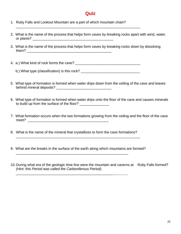## **Quiz**

- 1. Ruby Falls and Lookout Mountain are a part of which mountain chain?
- 2. What is the name of the process that helps form caves by breaking rocks apart with wind, water, or plants? \_\_\_\_\_\_\_\_\_\_\_\_\_\_\_\_\_\_\_\_\_\_\_\_\_\_\_\_\_\_\_\_\_\_\_\_\_\_\_\_\_
- 3. What is the name of the process that helps form caves by breaking rocks down by dissolving them? \_\_\_\_\_\_\_\_\_\_\_\_\_\_\_\_\_\_\_\_\_\_\_\_\_\_\_\_\_\_\_\_\_\_\_\_\_\_\_\_\_\_\_

4. a.) What kind of rock forms the cave? \_\_\_\_\_\_\_\_\_\_\_\_\_\_\_\_\_\_\_\_\_\_\_\_\_\_\_\_\_\_\_\_\_

b.) What type (classification) is this rock?

\_\_\_\_\_\_\_\_\_\_\_\_\_\_\_\_\_\_\_\_\_\_\_\_\_\_\_\_\_\_\_\_\_\_\_\_\_\_\_\_\_\_\_\_\_\_\_\_\_\_\_\_\_\_\_\_\_\_\_\_\_\_\_

- 5. What type of formation is formed when water drips down from the ceiling of the cave and leaves behind mineral deposits? \_\_\_\_\_\_\_\_\_\_\_\_\_\_\_\_\_\_\_\_\_\_\_\_\_\_\_\_
- 6. What type of formation is formed when water drips onto the floor of the cave and causes minerals to build up from the surface of the floor? \_\_\_\_\_\_\_\_\_\_\_\_\_\_\_
- 7. What formation occurs when the two formations growing from the ceiling and the floor of the cave meet? \_\_\_\_\_\_\_\_\_\_\_\_\_\_\_\_\_\_\_\_\_\_\_\_\_\_\_\_\_\_\_\_\_\_\_\_\_\_\_\_\_
- 8. What is the name of the mineral that crystallizes to form the cave formations?

\_\_\_\_\_\_\_\_\_\_\_\_\_\_\_\_\_\_\_\_\_\_\_\_\_\_\_\_\_\_\_\_\_\_\_\_\_\_\_\_\_\_\_\_\_\_\_\_\_\_\_\_\_\_\_\_\_

\_\_\_\_\_\_\_\_\_\_\_\_\_\_\_\_\_\_\_\_\_\_\_\_\_\_\_\_\_\_\_\_\_\_\_\_\_\_\_\_\_\_\_\_\_\_\_\_\_

9. What are the breaks in the surface of the earth along which mountains are formed?

\_\_\_\_\_\_\_\_\_\_\_\_\_\_\_\_\_\_\_\_\_\_\_\_\_\_\_\_\_\_\_\_\_\_\_\_\_\_\_\_\_\_\_\_\_\_\_\_\_\_\_\_\_\_\_\_\_\_\_\_\_\_\_

10. During what era of the geologic time line were the mountain and caverns at Ruby Falls formed? *(Hint: this Period was called the Carboniferous Period).*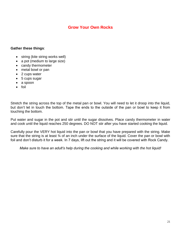## **Grow Your Own Rocks**

#### **Gather these things**:

- string (kite string works well)
- a pot (medium to large size)
- candy thermometer
- metal bowl or pan
- 2 cups water
- 5 cups sugar
- a spoon
- $\bullet$  foil

Stretch the string across the top of the metal pan or bowl. You will need to let it droop into the liquid, but don't let in touch the bottom. Tape the ends to the outside of the pan or bowl to keep it from touching the bottom.

Put water and sugar in the pot and stir until the sugar dissolves. Place candy thermometer in water and cook until the liquid reaches 250 degrees. DO NOT stir after you have started cooking the liquid.

Carefully pour the VERY hot liquid into the pan or bowl that you have prepared with the string. Make sure that the string is at least 34 of an inch under the surface of the liquid. Cover the pan or bowl with foil and don't disturb it for a week. In 7 days, lift out the string and it will be covered with Rock Candy.

*Make sure to have an adult's help during the cooking and while working with the hot liquid!*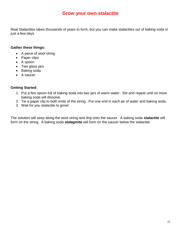## **Grow your own stalactite**

Real Stalactites takes thousands of years to form, but you can make stalactites out of baking soda in just a few days.

#### **Gather these things:**

- A piece of wool string
- Paper clips
- A spoon
- Two glass jars
- Baking soda
- A saucer

#### **Getting Started**:

- 1. Put a few spoon full of baking soda into two jars of warm water. Stir and repeat until no more baking soda will dissolve.
- 2. Tie a paper clip to both ends of the string. Put one end in each jar of water and baking soda.
- 3. Wait for you stalactite to grow!

The solution will seep along the wool string and drip onto the saucer. A baking soda **stalactite** will form on the string. A baking soda **stalagmite** will form on the saucer below the stalactite.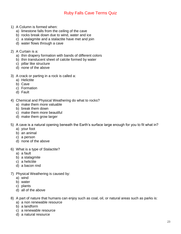## Ruby Falls Cave Terms Quiz

- 1) A Column is formed when:
	- a) limestone falls from the ceiling of the cave
	- b) rocks break down due to wind, water and ice
	- c) a stalagmite and a stalactite have met and join
	- d) water flows through a cave
- 2) A Curtain is a:
	- a) thin drapery formation with bands of different colors
	- b) thin translucent sheet of calcite formed by water
	- c) pillar like structure
	- d) none of the above
- 3) A crack or parting in a rock is called a:
	- a) Helictite
	- b) Cave
	- c) Formation
	- d) Fault
- 4) Chemical and Physical Weathering do what to rocks?
	- a) make them more valuable
	- b) break them down
	- c) make them more beautiful
	- d) make them grow larger
- 5) A cave is a natural opening beneath the Earth's surface large enough for you to fit what in?
	- a) your foot
	- b) an animal
	- c) a person
	- d) none of the above
- 6) What is a type of Stalactite?
	- a) a fault
	- b) a stalagmite
	- c) a helictite
	- d) a bacon rind
- 7) Physical Weathering is caused by:
	- a) wind
	- b) water
	- c) plants
	- d) all of the above
- 8) A part of nature that humans can enjoy such as coal, oil, or natural areas such as parks is:
	- a) a non renewable resource
	- b) a landform
	- c) a renewable resource
	- d) a natural resource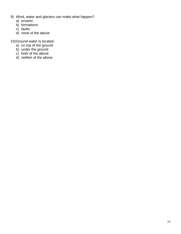- 9) Wind, water and glaciers can make what happen?
	- a) erosion
	- b) formations
	- c) faults
	- d) none of the above
- 10)Ground water is located:
	- a) on top of the ground
	- b) under the ground
	- c) both of the above
	- d) neither of the above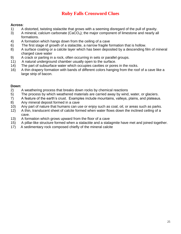# **Ruby Falls Crossword Clues**

#### **Across**:

- 1) A distorted, twisting stalactite that grows with a seeming disregard of the pull of gravity.
- 3) A mineral, calcium carbonate  $(CaCO<sub>3</sub>)$ ; the major component of limestone and nearly all formations.
- 4) A formation which hangs down from the ceiling of a cave
- 6) The first stage of growth of a stalactite, a narrow fragile formation that is hollow.
- 8) A surface coating or a calcite layer which has been deposited by a descending film of mineral charged cave water
- 9) A crack or parting in a rock, often occurring in sets or parallel groups.
- 11) A natural underground chamber usually open to the surface.
- 14) The part of subsurface water which occupies cavities or pores in the rocks.
- 16) A thin drapery formation with bands of different colors hanging from the roof of a cave like a large strip of bacon.

#### **Down**:

- 2) A weathering process that breaks down rocks by chemical reactions
- 5) The process by which weathered materials are carried away by wind, water, or glaciers.
- 7) A feature of the earth's crust. Examples include mountains, valleys, plains, and plateaus.
- 8) Any mineral deposit formed in a cave
- 10) Any part of nature that humans can use or enjoy such as coal, oil, or areas such as parks.
- 12) A thin, translucent sheet of calcite formed when water flows down the inclined ceiling of a cave.
- 13) A formation which grows upward from the floor of a cave
- 15) A pillar-like structure formed when a stalactite and a stalagmite have met and joined together.
- 17) A sedimentary rock composed chiefly of the mineral calcite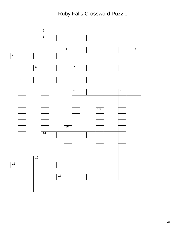# Ruby Falls Crossword Puzzle

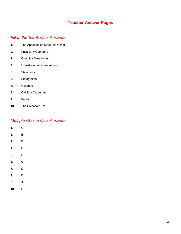## **Teacher Answer Pages**

#### *Fill In the Blank Quiz Answers*

- **1.** The Appalachian Mountain Chain
- **2.** Physical Weathering
- **3.** Chemical Weathering
- **4.** Limestone, sedimentary rock
- **5.** Stalactites
- **6.** Stalagmites
- **7.** Columns
- **8.** Calcium Carbonate
- **9.** Faults
- **10.** The Paleozoic Era

## *Multiple Choice Quiz Answers*

| 1.  | $\mathbf c$ |  |
|-----|-------------|--|
| 2.  | B           |  |
| 3.  | D           |  |
| 4.  | B           |  |
| 5.  | C           |  |
| 6.  | C           |  |
| 7.  | D           |  |
| 8.  | D           |  |
| 9.  | A           |  |
| 10. | B           |  |